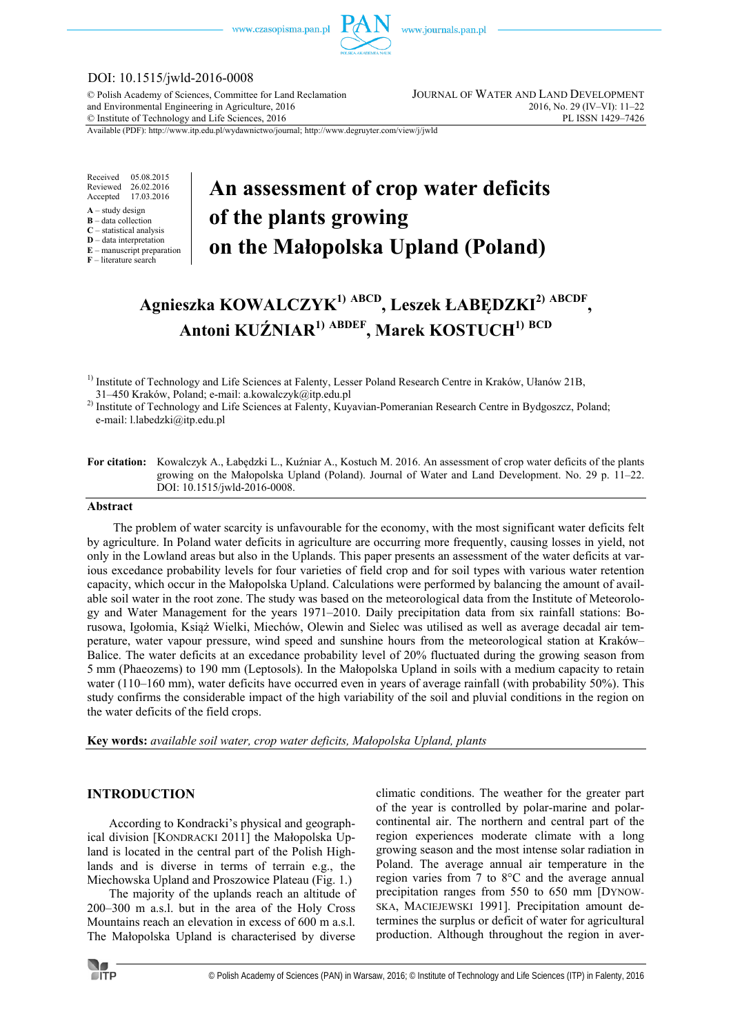

## DOI: 10.1515/jwld-2016-0008

© Polish Academy of Sciences, Committee for Land Reclamation JOURNAL OF WATER AND LAND DEVELOPMENT and Environmental Engineering in Agriculture, 2016<br>
© Institute of Technology and Life Sciences, 2016<br>
2016, No. 29 (IV–VI): 11–22<br>
PL ISSN 1429–7426  $©$  Institute of Technology and Life Sciences, 2016

Available (PDF): http://www.itp.edu.pl/wydawnictwo/journal; http://www.degruyter.com/view/j/jwld

Received 05.08.2015 Reviewed 26.02.2016<br>Accepted 17.03.2016 17.03.2016

- **A** study design
- **B** data collection **C** – statistical analysis
- **D** data interpretation
- **E** manuscript preparation

**F** – literature search

# **An assessment of crop water deficits of the plants growing on the Małopolska Upland (Poland)**

## **Agnieszka KOWALCZYK1) ABCD, Leszek ŁABĘDZKI2) ABCDF , Antoni KUŹNIAR1) ABDEF, Marek KOSTUCH1) BCD**

<sup>2)</sup> Institute of Technology and Life Sciences at Falenty, Kuyavian-Pomeranian Research Centre in Bydgoszcz, Poland; e-mail: l.labedzki@itp.edu.pl

#### **Abstract**

The problem of water scarcity is unfavourable for the economy, with the most significant water deficits felt by agriculture. In Poland water deficits in agriculture are occurring more frequently, causing losses in yield, not only in the Lowland areas but also in the Uplands. This paper presents an assessment of the water deficits at various excedance probability levels for four varieties of field crop and for soil types with various water retention capacity, which occur in the Małopolska Upland. Calculations were performed by balancing the amount of available soil water in the root zone. The study was based on the meteorological data from the Institute of Meteorology and Water Management for the years 1971–2010. Daily precipitation data from six rainfall stations: Borusowa, Igołomia, Książ Wielki, Miechów, Olewin and Sielec was utilised as well as average decadal air temperature, water vapour pressure, wind speed and sunshine hours from the meteorological station at Kraków– Balice. The water deficits at an excedance probability level of 20% fluctuated during the growing season from 5 mm (Phaeozems) to 190 mm (Leptosols). In the Małopolska Upland in soils with a medium capacity to retain water (110–160 mm), water deficits have occurred even in years of average rainfall (with probability 50%). This study confirms the considerable impact of the high variability of the soil and pluvial conditions in the region on the water deficits of the field crops.

**Key words:** *available soil water, crop water deficits, Małopolska Upland, plants* 

### **INTRODUCTION**

According to Kondracki's physical and geographical division [KONDRACKI 2011] the Małopolska Upland is located in the central part of the Polish Highlands and is diverse in terms of terrain e.g., the Miechowska Upland and Proszowice Plateau (Fig. 1.)

The majority of the uplands reach an altitude of 200–300 m a.s.l. but in the area of the Holy Cross Mountains reach an elevation in excess of 600 m a.s.l. The Małopolska Upland is characterised by diverse

climatic conditions. The weather for the greater part of the year is controlled by polar-marine and polarcontinental air. The northern and central part of the region experiences moderate climate with a long growing season and the most intense solar radiation in Poland. The average annual air temperature in the region varies from 7 to 8°C and the average annual precipitation ranges from 550 to 650 mm [DYNOW-SKA, MACIEJEWSKI 1991]. Precipitation amount determines the surplus or deficit of water for agricultural production. Although throughout the region in aver-



<sup>&</sup>lt;sup>1)</sup> Institute of Technology and Life Sciences at Falenty, Lesser Poland Research Centre in Kraków, Ułanów 21B, 31–450 Kraków, Poland; e-mail: a.kowalczyk@itp.edu.pl

**For citation:** Kowalczyk A., Łabędzki L., Kuźniar A., Kostuch M. 2016. An assessment of crop water deficits of the plants growing on the Małopolska Upland (Poland). Journal of Water and Land Development. No. 29 p. 11–22. DOI: 10.1515/jwld-2016-0008.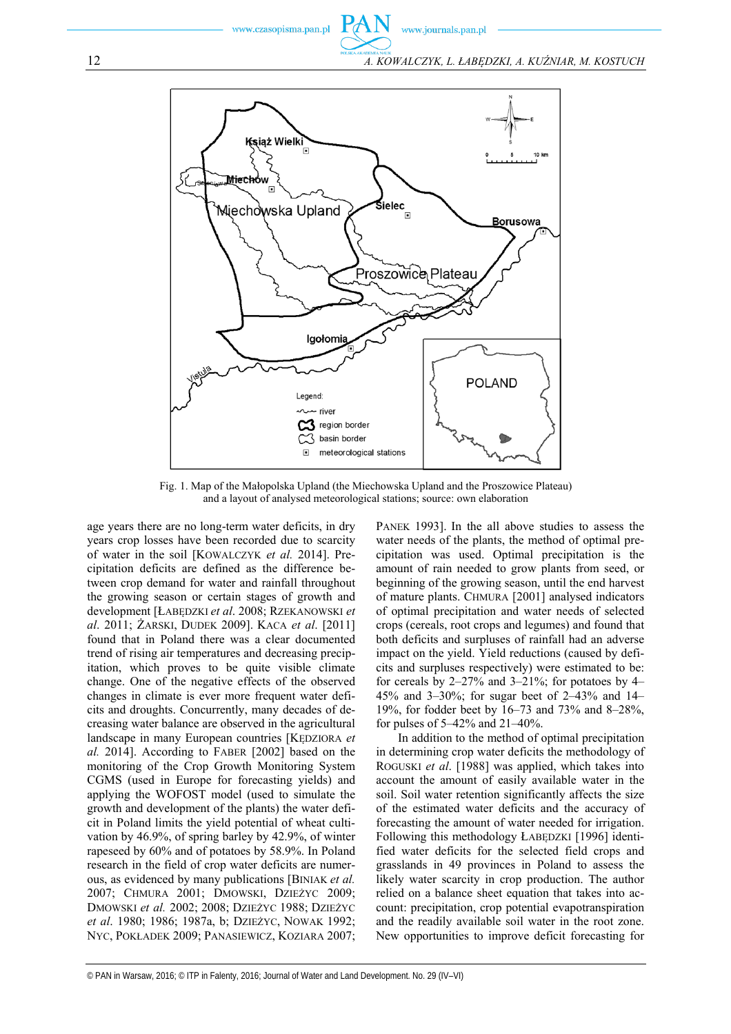

Fig. 1. Map of the Małopolska Upland (the Miechowska Upland and the Proszowice Plateau) and a layout of analysed meteorological stations; source: own elaboration

age years there are no long-term water deficits, in dry years crop losses have been recorded due to scarcity of water in the soil [KOWALCZYK *et al.* 2014]. Precipitation deficits are defined as the difference between crop demand for water and rainfall throughout the growing season or certain stages of growth and development [ŁABĘDZKI *et al*. 2008; RZEKANOWSKI *et al*. 2011; ŻARSKI, DUDEK 2009]. KACA *et al*. [2011] found that in Poland there was a clear documented trend of rising air temperatures and decreasing precipitation, which proves to be quite visible climate change. One of the negative effects of the observed changes in climate is ever more frequent water deficits and droughts. Concurrently, many decades of decreasing water balance are observed in the agricultural landscape in many European countries [KĘDZIORA *et al.* 2014]. According to FABER [2002] based on the monitoring of the Crop Growth Monitoring System CGMS (used in Europe for forecasting yields) and applying the WOFOST model (used to simulate the growth and development of the plants) the water deficit in Poland limits the yield potential of wheat cultivation by 46.9%, of spring barley by 42.9%, of winter rapeseed by 60% and of potatoes by 58.9%. In Poland research in the field of crop water deficits are numerous, as evidenced by many publications [BINIAK *et al.* 2007; CHMURA 2001; DMOWSKI, DZIEŻYC 2009; DMOWSKI *et al.* 2002; 2008; DZIEŻYC 1988; DZIEŻYC *et al*. 1980; 1986; 1987a, b; DZIEŻYC, NOWAK 1992; NYC, POKŁADEK 2009; PANASIEWICZ, KOZIARA 2007;

PANEK 1993]. In the all above studies to assess the water needs of the plants, the method of optimal precipitation was used. Optimal precipitation is the amount of rain needed to grow plants from seed, or beginning of the growing season, until the end harvest of mature plants. CHMURA [2001] analysed indicators of optimal precipitation and water needs of selected crops (cereals, root crops and legumes) and found that both deficits and surpluses of rainfall had an adverse impact on the yield. Yield reductions (caused by deficits and surpluses respectively) were estimated to be: for cereals by  $2-27\%$  and  $3-21\%$ ; for potatoes by 4– 45% and 3–30%; for sugar beet of 2–43% and 14– 19%, for fodder beet by 16–73 and 73% and 8–28%, for pulses of 5–42% and 21–40%.

In addition to the method of optimal precipitation in determining crop water deficits the methodology of ROGUSKI *et al*. [1988] was applied, which takes into account the amount of easily available water in the soil. Soil water retention significantly affects the size of the estimated water deficits and the accuracy of forecasting the amount of water needed for irrigation. Following this methodology ŁABĘDZKI [1996] identified water deficits for the selected field crops and grasslands in 49 provinces in Poland to assess the likely water scarcity in crop production. The author relied on a balance sheet equation that takes into account: precipitation, crop potential evapotranspiration and the readily available soil water in the root zone. New opportunities to improve deficit forecasting for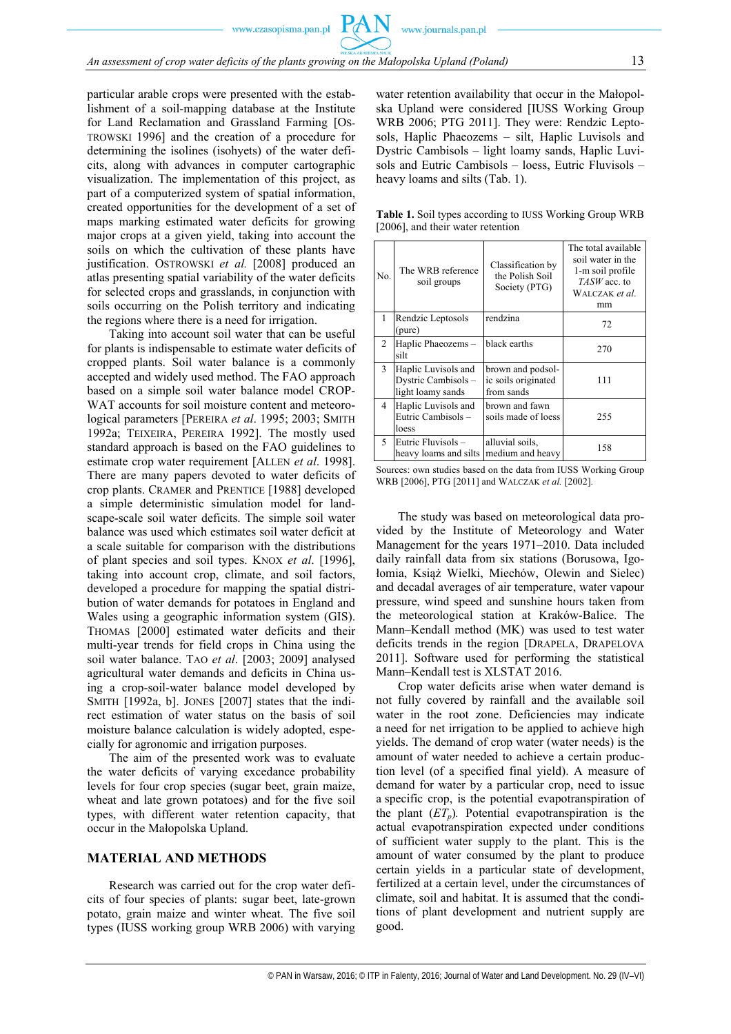particular arable crops were presented with the establishment of a soil-mapping database at the Institute for Land Reclamation and Grassland Farming [OS-TROWSKI 1996] and the creation of a procedure for determining the isolines (isohyets) of the water deficits, along with advances in computer cartographic visualization. The implementation of this project, as part of a computerized system of spatial information, created opportunities for the development of a set of maps marking estimated water deficits for growing major crops at a given yield, taking into account the soils on which the cultivation of these plants have justification. OSTROWSKI et al. [2008] produced an atlas presenting spatial variability of the water deficits for selected crops and grasslands, in conjunction with soils occurring on the Polish territory and indicating the regions where there is a need for irrigation.

Taking into account soil water that can be useful for plants is indispensable to estimate water deficits of cropped plants. Soil water balance is a commonly accepted and widely used method. The FAO approach based on a simple soil water balance model CROP-WAT accounts for soil moisture content and meteorological parameters [PEREIRA *et al*. 1995; 2003; SMITH 1992a; TEIXEIRA, PEREIRA 1992]. The mostly used standard approach is based on the FAO guidelines to estimate crop water requirement [ALLEN *et al*. 1998]. There are many papers devoted to water deficits of crop plants. CRAMER and PRENTICE [1988] developed a simple deterministic simulation model for landscape-scale soil water deficits. The simple soil water balance was used which estimates soil water deficit at a scale suitable for comparison with the distributions of plant species and soil types. KNOX *et al*. [1996], taking into account crop, climate, and soil factors, developed a procedure for mapping the spatial distribution of water demands for potatoes in England and Wales using a geographic information system (GIS). THOMAS [2000] estimated water deficits and their multi-year trends for field crops in China using the soil water balance. TAO *et al*. [2003; 2009] analysed agricultural water demands and deficits in China using a crop-soil-water balance model developed by SMITH [1992a, b]. JONES [2007] states that the indirect estimation of water status on the basis of soil moisture balance calculation is widely adopted, especially for agronomic and irrigation purposes.

The aim of the presented work was to evaluate the water deficits of varying excedance probability levels for four crop species (sugar beet, grain maize, wheat and late grown potatoes) and for the five soil types, with different water retention capacity, that occur in the Małopolska Upland.

## **MATERIAL AND METHODS**

Research was carried out for the crop water deficits of four species of plants: sugar beet, late-grown potato, grain maize and winter wheat. The five soil types (IUSS working group WRB 2006) with varying water retention availability that occur in the Małopolska Upland were considered [IUSS Working Group WRB 2006; PTG 2011]. They were: Rendzic Leptosols, Haplic Phaeozems – silt, Haplic Luvisols and Dystric Cambisols – light loamy sands, Haplic Luvisols and Eutric Cambisols – loess, Eutric Fluvisols – heavy loams and silts (Tab. 1).

| <b>Table 1.</b> Soil types according to IUSS Working Group WRB |  |
|----------------------------------------------------------------|--|
| [2006], and their water retention                              |  |

| No.            | The WRB reference<br>soil groups                               | Classification by<br>the Polish Soil<br>Society (PTG)  | The total available<br>soil water in the<br>1-m soil profile<br>TASW acc. to<br>WALCZAK et al.<br>mm |
|----------------|----------------------------------------------------------------|--------------------------------------------------------|------------------------------------------------------------------------------------------------------|
| 1              | Rendzic Leptosols<br>(pure)                                    | rendzina                                               | 72                                                                                                   |
| 2              | Haplic Phaeozems -<br>silt                                     | black earths                                           | 270                                                                                                  |
| 3              | Haplic Luvisols and<br>Dystric Cambisols-<br>light loamy sands | brown and podsol-<br>ic soils originated<br>from sands | 111                                                                                                  |
| $\overline{4}$ | Haplic Luvisols and<br>Eutric Cambisols -<br>loess             | brown and fawn<br>soils made of loess                  | 255                                                                                                  |
| 5              | Eutric Fluvisols -<br>heavy loams and silts                    | alluvial soils,<br>medium and heavy                    | 158                                                                                                  |

Sources: own studies based on the data from IUSS Working Group WRB [2006], PTG [2011] and WALCZAK *et al.* [2002].

The study was based on meteorological data provided by the Institute of Meteorology and Water Management for the years 1971–2010. Data included daily rainfall data from six stations (Borusowa, Igołomia, Książ Wielki, Miechów, Olewin and Sielec) and decadal averages of air temperature, water vapour pressure, wind speed and sunshine hours taken from the meteorological station at Kraków-Balice. The Mann–Kendall method (MK) was used to test water deficits trends in the region [DRAPELA, DRAPELOVA 2011]. Software used for performing the statistical Mann–Kendall test is XLSTAT 2016.

Crop water deficits arise when water demand is not fully covered by rainfall and the available soil water in the root zone. Deficiencies may indicate a need for net irrigation to be applied to achieve high yields. The demand of crop water (water needs) is the amount of water needed to achieve a certain production level (of a specified final yield). A measure of demand for water by a particular crop, need to issue a specific crop, is the potential evapotranspiration of the plant  $(ET<sub>n</sub>)$ . Potential evapotranspiration is the actual evapotranspiration expected under conditions of sufficient water supply to the plant. This is the amount of water consumed by the plant to produce certain yields in a particular state of development, fertilized at a certain level, under the circumstances of climate, soil and habitat. It is assumed that the conditions of plant development and nutrient supply are good.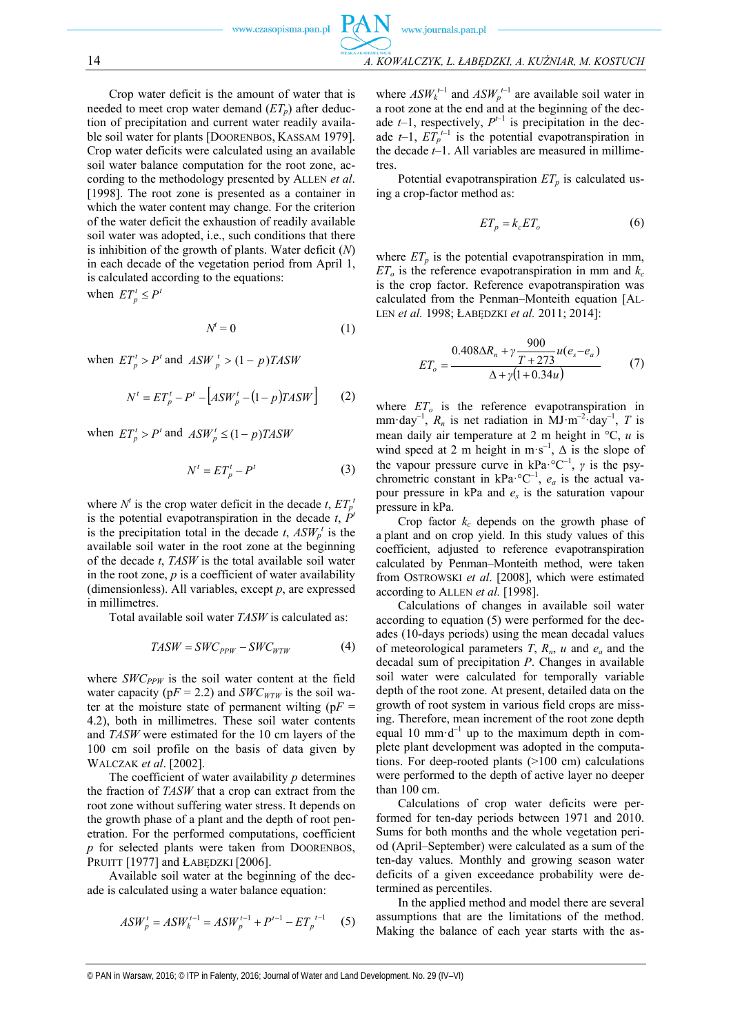Crop water deficit is the amount of water that is needed to meet crop water demand  $(ET<sub>n</sub>)$  after deduction of precipitation and current water readily available soil water for plants [DOORENBOS, KASSAM 1979]. Crop water deficits were calculated using an available soil water balance computation for the root zone, according to the methodology presented by ALLEN *et al*. [1998]. The root zone is presented as a container in which the water content may change. For the criterion of the water deficit the exhaustion of readily available soil water was adopted, i.e., such conditions that there is inhibition of the growth of plants. Water deficit (*N*) in each decade of the vegetation period from April 1, is calculated according to the equations:

when  $ET_p^t \leq P^t$ 

$$
N^t = 0 \tag{1}
$$

when  $ET_p^t > P^t$  and  $ASW_p^t > (1 - p)TASW$ 

$$
N^{t} = ET_{p}^{t} - P^{t} - [ASW_{p}^{t} - (1 - p)TASW] \qquad (2)
$$

when  $ET_p^t > P^t$  and  $ASW_p^t \leq (1-p)TASW$ 

$$
N^t = ET_p^t - P^t \tag{3}
$$

where  $N^t$  is the crop water deficit in the decade *t*,  $ET_p^t$ is the potential evapotranspiration in the decade  $t$ ,  $P<sup>t</sup>$ is the precipitation total in the decade  $t$ ,  $ASW_p^t$  is the available soil water in the root zone at the beginning of the decade *t*, *TASW* is the total available soil water in the root zone, *p* is a coefficient of water availability (dimensionless). All variables, except *p*, are expressed in millimetres.

Total available soil water *TASW* is calculated as:

$$
TASW = SWC_{PPW} - SWC_{WTW} \tag{4}
$$

where  $SWC_{PPW}$  is the soil water content at the field water capacity ( $pF = 2.2$ ) and *SWC<sub>WTW</sub>* is the soil water at the moisture state of permanent wilting ( $pF =$ 4.2), both in millimetres. These soil water contents and *TASW* were estimated for the 10 cm layers of the 100 cm soil profile on the basis of data given by WALCZAK *et al*. [2002].

The coefficient of water availability *p* determines the fraction of *TASW* that a crop can extract from the root zone without suffering water stress. It depends on the growth phase of a plant and the depth of root penetration. For the performed computations, coefficient *p* for selected plants were taken from DOORENBOS, PRUITT [1977] and ŁABĘDZKI [2006].

Available soil water at the beginning of the decade is calculated using a water balance equation:

$$
ASW_p^t = ASW_k^{t-1} = ASW_p^{t-1} + P^{t-1} - ET_p^{t-1} \tag{5}
$$

where 
$$
ASW_k^{t-1}
$$
 and  $ASW_p^{t-1}$  are available soil water in  
a root zone at the end and at the beginning of the dec-  
ade *t*-1, respectively,  $P^{t-1}$  is precipitation in the dec-  
ade *t*-1,  $ET_p^{t-1}$  is the potential evaporation in  
the decade *t*-1. All variables are measured in millime-  
tres.

Potential evapotranspiration  $ET_p$  is calculated using a crop-factor method as:

$$
ET_p = k_c ET_o \tag{6}
$$

where  $ET_p$  is the potential evapotranspiration in mm,  $ET<sub>o</sub>$  is the reference evapotranspiration in mm and  $k<sub>c</sub>$ is the crop factor. Reference evapotranspiration was calculated from the Penman–Monteith equation [AL-LEN *et al.* 1998; ŁABĘDZKI *et al.* 2011; 2014]:

$$
ET_o = \frac{0.408\Delta R_n + \gamma \frac{900}{T + 273}u(e_s - e_a)}{\Delta + \gamma(1 + 0.34u)}\tag{7}
$$

where  $ET<sub>o</sub>$  is the reference evapotranspiration in mm·day<sup>-1</sup>,  $R_n$  is net radiation in  $MJ·m^{-2}·day^{-1}$ , T is mean daily air temperature at 2 m height in  $\mathrm{C}$ , *u* is wind speed at 2 m height in  $m \cdot s^{-1}$ ,  $\Delta$  is the slope of the vapour pressure curve in kPa· ${}^{\circ}C^{-1}$ , *γ* is the psychrometric constant in  $kPa \cdot {}^{\circ}C^{-1}$ ,  $e_a$  is the actual vapour pressure in kPa and *es* is the saturation vapour pressure in kPa.

Crop factor  $k_c$  depends on the growth phase of a plant and on crop yield. In this study values of this coefficient, adjusted to reference evapotranspiration calculated by Penman–Monteith method, were taken from OSTROWSKI *et al*. [2008], which were estimated according to ALLEN *et al.* [1998].

Calculations of changes in available soil water according to equation (5) were performed for the decades (10-days periods) using the mean decadal values of meteorological parameters *T*, *Rn*, *u* and *ea* and the decadal sum of precipitation *P*. Changes in available soil water were calculated for temporally variable depth of the root zone. At present, detailed data on the growth of root system in various field crops are missing. Therefore, mean increment of the root zone depth equal 10 mm·d<sup>-1</sup> up to the maximum depth in complete plant development was adopted in the computations. For deep-rooted plants (>100 cm) calculations were performed to the depth of active layer no deeper than 100 cm.

Calculations of crop water deficits were performed for ten-day periods between 1971 and 2010. Sums for both months and the whole vegetation period (April–September) were calculated as a sum of the ten-day values. Monthly and growing season water deficits of a given exceedance probability were determined as percentiles.

In the applied method and model there are several assumptions that are the limitations of the method. Making the balance of each year starts with the as-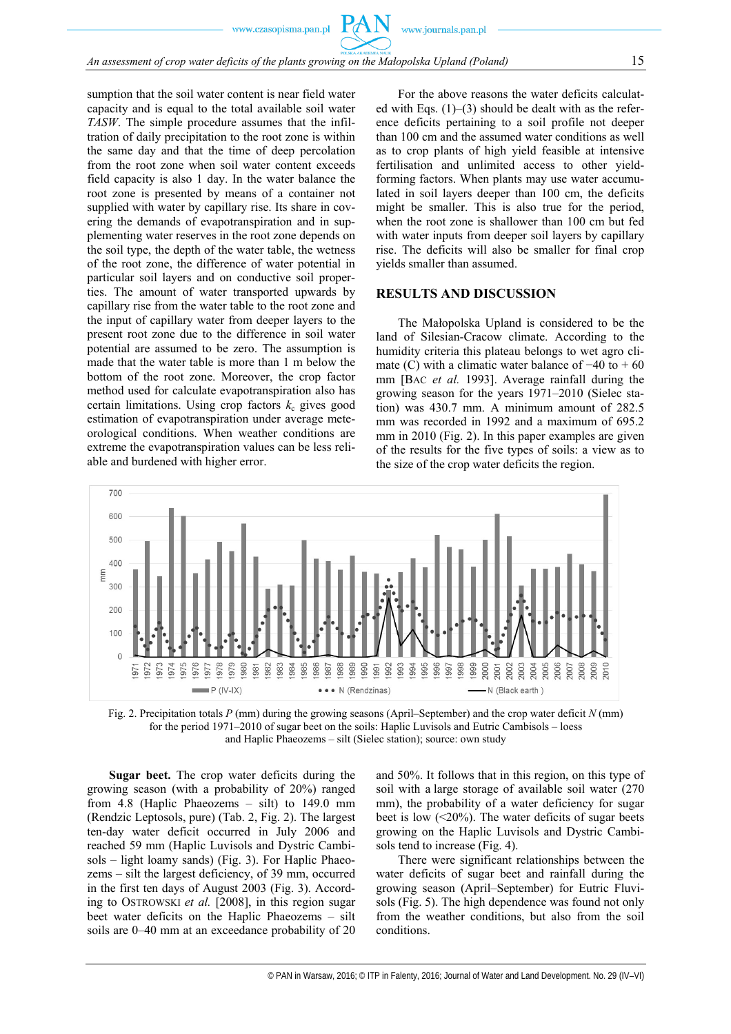sumption that the soil water content is near field water capacity and is equal to the total available soil water *TASW*. The simple procedure assumes that the infiltration of daily precipitation to the root zone is within the same day and that the time of deep percolation from the root zone when soil water content exceeds field capacity is also 1 day. In the water balance the root zone is presented by means of a container not supplied with water by capillary rise. Its share in covering the demands of evapotranspiration and in supplementing water reserves in the root zone depends on the soil type, the depth of the water table, the wetness of the root zone, the difference of water potential in particular soil layers and on conductive soil properties. The amount of water transported upwards by capillary rise from the water table to the root zone and the input of capillary water from deeper layers to the present root zone due to the difference in soil water potential are assumed to be zero. The assumption is made that the water table is more than 1 m below the bottom of the root zone. Moreover, the crop factor method used for calculate evapotranspiration also has certain limitations. Using crop factors  $k<sub>c</sub>$  gives good estimation of evapotranspiration under average meteorological conditions. When weather conditions are extreme the evapotranspiration values can be less reliable and burdened with higher error.

For the above reasons the water deficits calculated with Eqs.  $(1)$ – $(3)$  should be dealt with as the reference deficits pertaining to a soil profile not deeper than 100 cm and the assumed water conditions as well as to crop plants of high yield feasible at intensive fertilisation and unlimited access to other yieldforming factors. When plants may use water accumulated in soil layers deeper than 100 cm, the deficits might be smaller. This is also true for the period, when the root zone is shallower than 100 cm but fed with water inputs from deeper soil layers by capillary rise. The deficits will also be smaller for final crop yields smaller than assumed.

## **RESULTS AND DISCUSSION**

The Małopolska Upland is considered to be the land of Silesian-Cracow climate. According to the humidity criteria this plateau belongs to wet agro climate (C) with a climatic water balance of  $-40$  to  $+60$ mm [BAC *et al.* 1993]. Average rainfall during the growing season for the years 1971–2010 (Sielec station) was 430.7 mm. A minimum amount of 282.5 mm was recorded in 1992 and a maximum of 695.2 mm in 2010 (Fig. 2). In this paper examples are given of the results for the five types of soils: a view as to the size of the crop water deficits the region.



Fig. 2. Precipitation totals *P* (mm) during the growing seasons (April–September) and the crop water deficit *N* (mm) for the period 1971–2010 of sugar beet on the soils: Haplic Luvisols and Eutric Cambisols – loess and Haplic Phaeozems – silt (Sielec station); source: own study

**Sugar beet.** The crop water deficits during the growing season (with a probability of 20%) ranged from 4.8 (Haplic Phaeozems – silt) to 149.0 mm (Rendzic Leptosols, pure) (Tab. 2, Fig. 2). The largest ten-day water deficit occurred in July 2006 and reached 59 mm (Haplic Luvisols and Dystric Cambisols – light loamy sands) (Fig. 3). For Haplic Phaeozems – silt the largest deficiency, of 39 mm, occurred in the first ten days of August 2003 (Fig. 3). According to OSTROWSKI *et al.* [2008], in this region sugar beet water deficits on the Haplic Phaeozems – silt soils are 0–40 mm at an exceedance probability of 20

and 50%. It follows that in this region, on this type of soil with a large storage of available soil water (270 mm), the probability of a water deficiency for sugar beet is low  $(\leq 20\%)$ . The water deficits of sugar beets growing on the Haplic Luvisols and Dystric Cambisols tend to increase (Fig. 4).

There were significant relationships between the water deficits of sugar beet and rainfall during the growing season (April–September) for Eutric Fluvisols (Fig. 5). The high dependence was found not only from the weather conditions, but also from the soil conditions.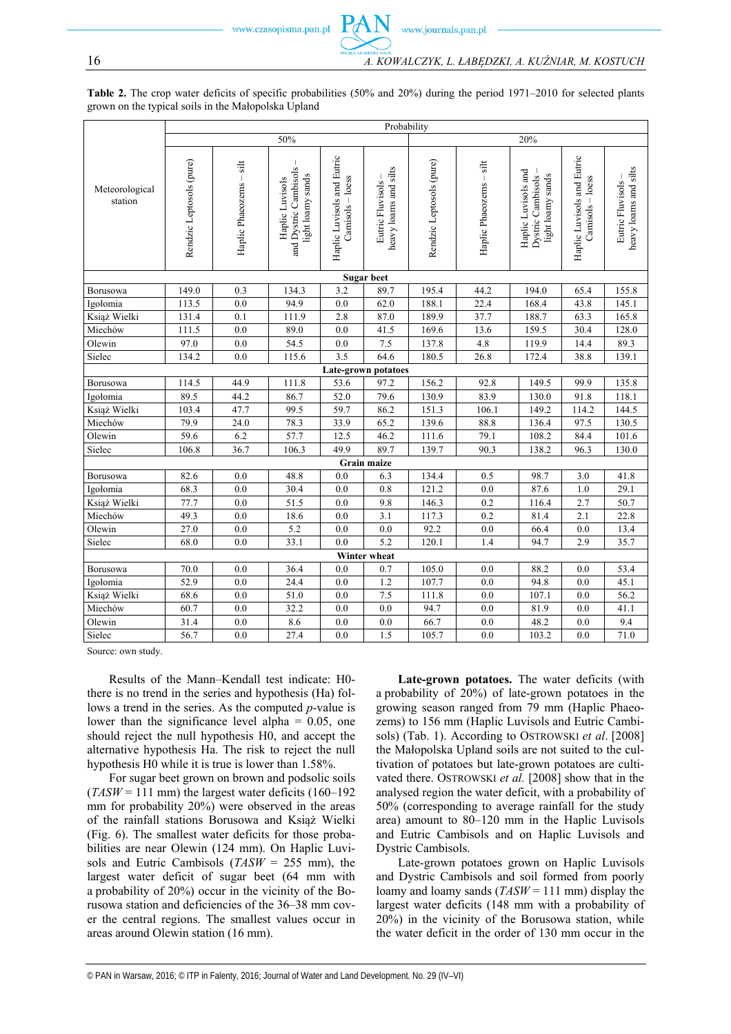**Table 2.** The crop water deficits of specific probabilities (50% and 20%) during the period 1971–2010 for selected plants grown on the typical soils in the Małopolska Upland

|                           | Probability              |                         |                                                               |                                                |                                             |                          |                         |                                                               |                                                |                                           |  |
|---------------------------|--------------------------|-------------------------|---------------------------------------------------------------|------------------------------------------------|---------------------------------------------|--------------------------|-------------------------|---------------------------------------------------------------|------------------------------------------------|-------------------------------------------|--|
|                           | 50%                      |                         |                                                               |                                                | 20%                                         |                          |                         |                                                               |                                                |                                           |  |
| Meteorological<br>station | Rendzic Leptosols (pure) | Haplic Phaeozems - silt | and Dystric Cambisols<br>light loamy sands<br>Haplic Luvisols | Haplic Luvisols and Eutric<br>Camisols - loess | heavy loams and silts<br>Eutric Fluvisols - | Rendzic Leptosols (pure) | Haplic Phaeozems - silt | Haplic Luvisols and<br>light loamy sands<br>Dystric Cambisols | Haplic Luvisols and Eutric<br>Camisols - loess | heavy loams and silts<br>Eutric Fluvisols |  |
| <b>Sugar beet</b>         |                          |                         |                                                               |                                                |                                             |                          |                         |                                                               |                                                |                                           |  |
| Borusowa                  | 149.0                    | 0.3                     | 134.3                                                         | 3.2                                            | 89.7                                        | 195.4                    | 44.2                    | 194.0                                                         | 65.4                                           | 155.8                                     |  |
| Igołomia                  | 113.5                    | 0.0                     | 94.9                                                          | 0.0                                            | 62.0                                        | 188.1                    | 22.4                    | 168.4                                                         | 43.8                                           | 145.1                                     |  |
| Książ Wielki              | 131.4                    | 0.1                     | 111.9                                                         | 2.8                                            | 87.0                                        | 189.9                    | 37.7                    | 188.7                                                         | 63.3                                           | 165.8                                     |  |
| Miechów                   | 111.5                    | 0.0                     | 89.0                                                          | 0.0                                            | 41.5                                        | 169.6                    | 13.6                    | 159.5                                                         | 30.4                                           | 128.0                                     |  |
| Olewin                    | 97.0                     | 0.0                     | 54.5                                                          | 0.0                                            | 7.5                                         | 137.8                    | 4.8                     | 119.9                                                         | 14.4                                           | 89.3                                      |  |
| Sielec                    | 134.2                    | 0.0                     | 115.6                                                         | 3.5                                            | 64.6                                        | 180.5                    | 26.8                    | 172.4                                                         | 38.8                                           | 139.1                                     |  |
| Late-grown potatoes       |                          |                         |                                                               |                                                |                                             |                          |                         |                                                               |                                                |                                           |  |
| Borusowa                  | 114.5                    | 44.9                    | 111.8                                                         | 53.6                                           | 97.2                                        | 156.2                    | 92.8                    | 149.5                                                         | 99.9                                           | 135.8                                     |  |
| Igołomia                  | 89.5                     | 44.2                    | 86.7                                                          | 52.0                                           | 79.6                                        | 130.9                    | 83.9                    | 130.0                                                         | 91.8                                           | 118.1                                     |  |
| Książ Wielki              | 103.4                    | 47.7                    | 99.5                                                          | 59.7                                           | 86.2                                        | 151.3                    | 106.1                   | 149.2                                                         | 114.2                                          | 144.5                                     |  |
| Miechów                   | 79.9                     | 24.0                    | 78.3                                                          | 33.9                                           | 65.2                                        | 139.6                    | 88.8                    | 136.4                                                         | 97.5                                           | 130.5                                     |  |
| Olewin                    | 59.6                     | 6.2                     | 57.7                                                          | 12.5                                           | 46.2                                        | 111.6                    | 79.1                    | 108.2                                                         | 84.4                                           | 101.6                                     |  |
| Sielec                    | 106.8                    | 36.7                    | 106.3                                                         | 49.9                                           | 89.7                                        | 139.7                    | 90.3                    | 138.2                                                         | 96.3                                           | 130.0                                     |  |
|                           |                          |                         |                                                               |                                                | Grain maize                                 |                          |                         |                                                               |                                                |                                           |  |
| Borusowa                  | 82.6                     | 0.0                     | 48.8                                                          | 0.0                                            | 6.3                                         | 134.4                    | 0.5                     | 98.7                                                          | 3.0                                            | 41.8                                      |  |
| Igołomia                  | 68.3                     | 0.0                     | 30.4                                                          | 0.0                                            | 0.8                                         | 121.2                    | 0.0                     | 87.6                                                          | 1.0                                            | 29.1                                      |  |
| Książ Wielki              | 77.7                     | 0.0                     | 51.5                                                          | 0.0                                            | 9.8                                         | 146.3                    | 0.2                     | 116.4                                                         | 2.7                                            | 50.7                                      |  |
| Miechów                   | 49.3                     | 0.0                     | 18.6                                                          | 0.0                                            | 3.1                                         | 117.3                    | 0.2                     | 81.4                                                          | 2.1                                            | 22.8                                      |  |
| Olewin                    | 27.0                     | 0.0                     | 5.2                                                           | 0.0                                            | 0.0                                         | 92.2                     | 0.0                     | 66.4                                                          | 0.0                                            | 13.4                                      |  |
| Sielec                    | 68.0                     | 0.0                     | 33.1                                                          | 0.0                                            | 5.2                                         | 120.1                    | 1.4                     | 94.7                                                          | 2.9                                            | 35.7                                      |  |
| Winter wheat              |                          |                         |                                                               |                                                |                                             |                          |                         |                                                               |                                                |                                           |  |
| Borusowa                  | 70.0                     | 0.0                     | 36.4                                                          | 0.0                                            | 0.7                                         | 105.0                    | 0.0                     | 88.2                                                          | 0.0                                            | 53.4                                      |  |
| Igołomia                  | 52.9                     | 0.0                     | 24.4                                                          | 0.0                                            | 1.2                                         | 107.7                    | 0.0                     | 94.8                                                          | 0.0                                            | 45.1                                      |  |
| Książ Wielki              | 68.6                     | 0.0                     | 51.0                                                          | 0.0                                            | 7.5                                         | 111.8                    | 0.0                     | 107.1                                                         | 0.0                                            | 56.2                                      |  |
| Miechów                   | 60.7                     | 0.0                     | 32.2                                                          | 0.0                                            | 0.0                                         | 94.7                     | 0.0                     | 81.9                                                          | 0.0                                            | 41.1                                      |  |
| Olewin                    | 31.4                     | 0.0                     | 8.6                                                           | 0.0                                            | 0.0                                         | 66.7                     | 0.0                     | 48.2                                                          | 0.0                                            | 9.4                                       |  |
| Sielec                    | 56.7                     | 0.0                     | 27.4                                                          | 0.0                                            | 1.5                                         | 105.7                    | 0.0                     | 103.2                                                         | 0.0                                            | 71.0                                      |  |

Source: own study.

Results of the Mann–Kendall test indicate: H0 there is no trend in the series and hypothesis (Ha) follows a trend in the series. As the computed *p*-value is lower than the significance level alpha  $= 0.05$ , one should reject the null hypothesis H0, and accept the alternative hypothesis Ha. The risk to reject the null hypothesis H0 while it is true is lower than 1.58%.

For sugar beet grown on brown and podsolic soils  $(TASW = 111$  mm) the largest water deficits  $(160-192)$ mm for probability 20%) were observed in the areas of the rainfall stations Borusowa and Książ Wielki (Fig. 6). The smallest water deficits for those probabilities are near Olewin (124 mm). On Haplic Luvisols and Eutric Cambisols (*TASW* = 255 mm), the largest water deficit of sugar beet (64 mm with a probability of 20%) occur in the vicinity of the Borusowa station and deficiencies of the 36–38 mm cover the central regions. The smallest values occur in areas around Olewin station (16 mm).

**Late-grown potatoes.** The water deficits (with a probability of 20%) of late-grown potatoes in the growing season ranged from 79 mm (Haplic Phaeozems) to 156 mm (Haplic Luvisols and Eutric Cambisols) (Tab. 1). According to OSTROWSKI *et al*. [2008] the Małopolska Upland soils are not suited to the cultivation of potatoes but late-grown potatoes are cultivated there. OSTROWSKI *et al.* [2008] show that in the analysed region the water deficit, with a probability of 50% (corresponding to average rainfall for the study area) amount to 80–120 mm in the Haplic Luvisols and Eutric Cambisols and on Haplic Luvisols and Dystric Cambisols.

Late-grown potatoes grown on Haplic Luvisols and Dystric Cambisols and soil formed from poorly loamy and loamy sands (*TASW* = 111 mm) display the largest water deficits (148 mm with a probability of 20%) in the vicinity of the Borusowa station, while the water deficit in the order of 130 mm occur in the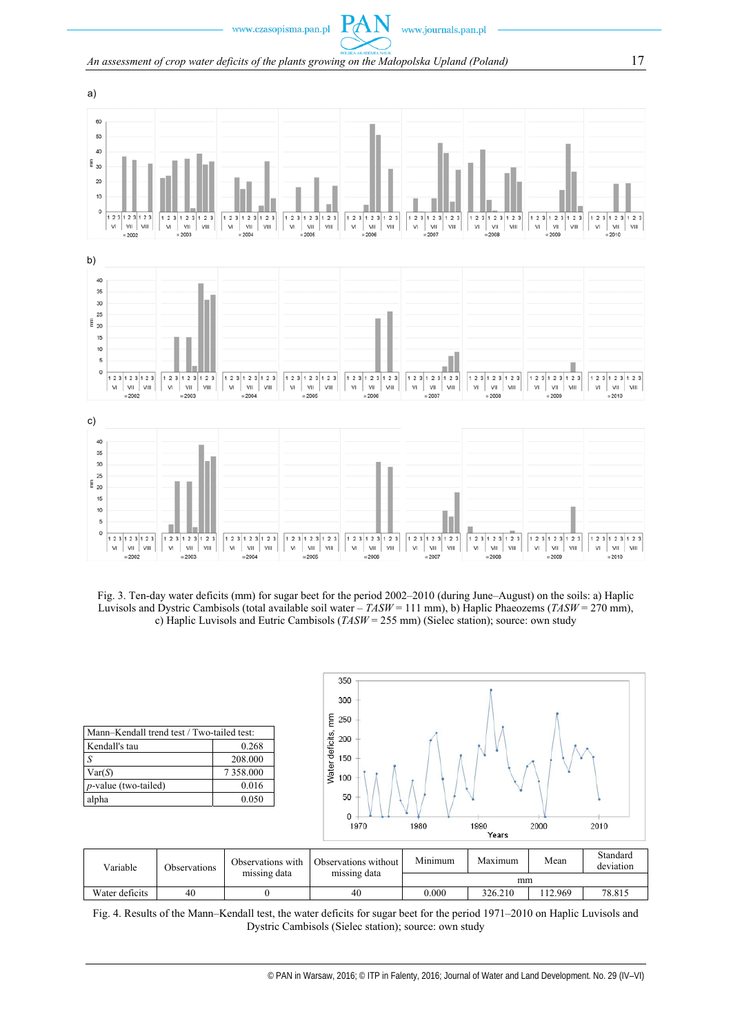## *An assessment of crop water deficits of the plants growing on the Małopolska Upland (Poland)* 17

 $Pf$ 







Fig. 4. Results of the Mann–Kendall test, the water deficits for sugar beet for the period 1971–2010 on Haplic Luvisols and

Water deficits 40 0 40 40 0.000 326.210 112.969 78.815

Dystric Cambisols (Sielec station); source: own study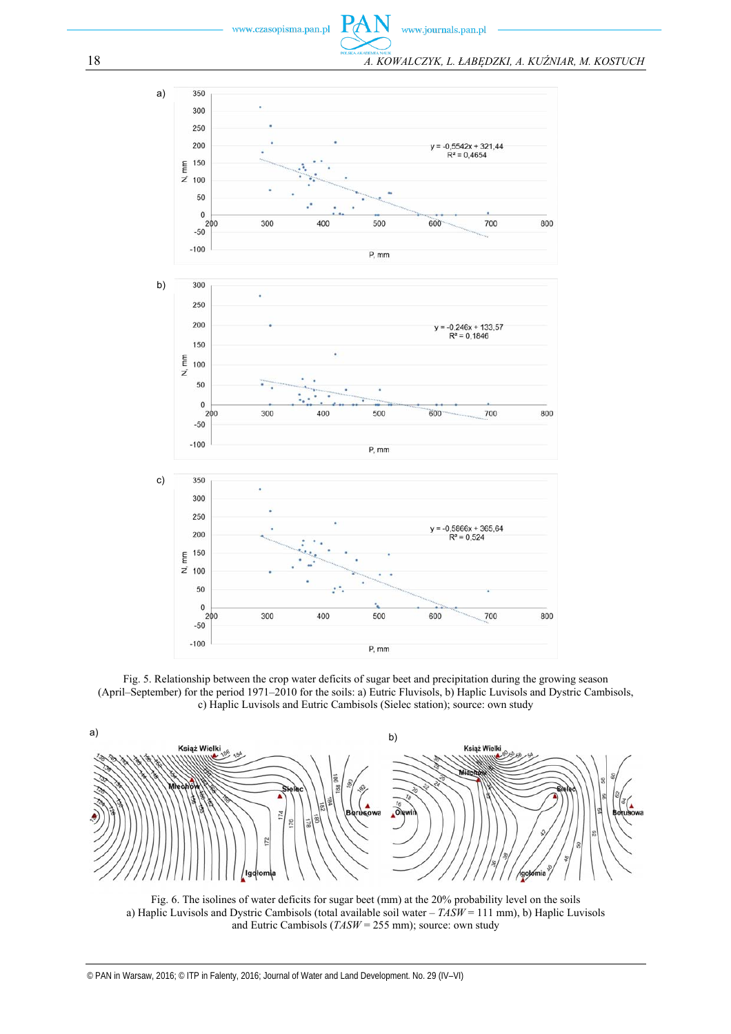

F



18 *A. KOWALCZYK, L. ŁABĘDZKI, A. KUŹNIAR, M. KOSTUCH* 



Fig. 5. Relationship between the crop water deficits of sugar beet and precipitation during the growing season (April–September) for the period 1971–2010 for the soils: a) Eutric Fluvisols, b) Haplic Luvisols and Dystric Cambisols, c) Haplic Luvisols and Eutric Cambisols (Sielec station); source: own study



Fig. 6. The isolines of water deficits for sugar beet (mm) at the 20% probability level on the soils a) Haplic Luvisols and Dystric Cambisols (total available soil water – *TASW* = 111 mm), b) Haplic Luvisols and Eutric Cambisols (*TASW* = 255 mm); source: own study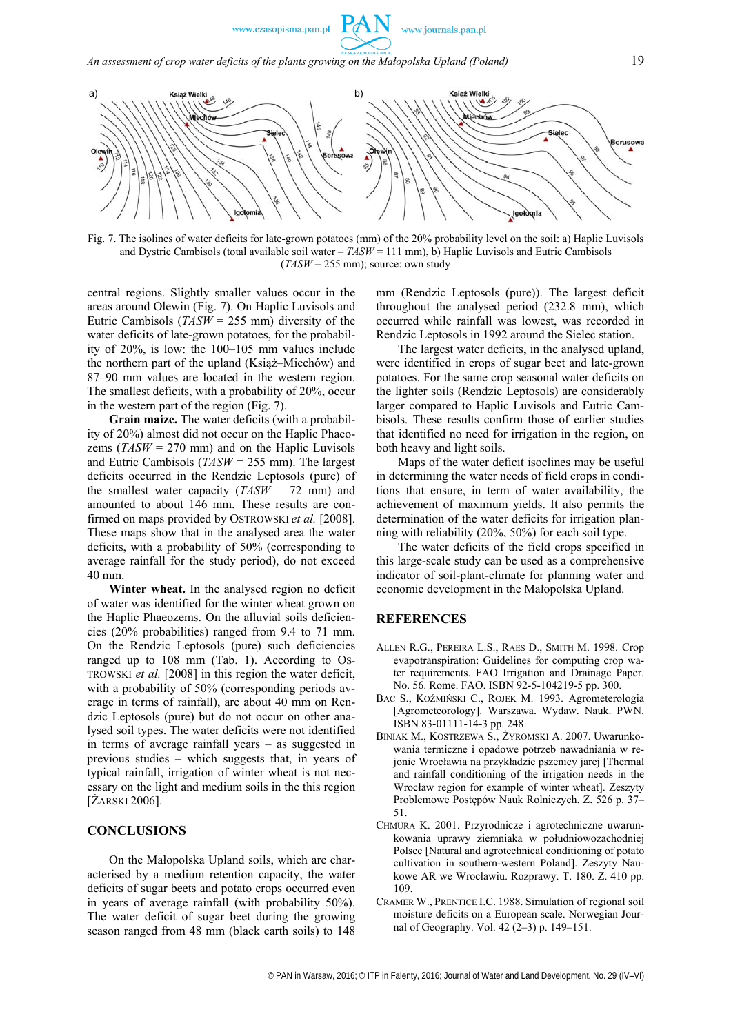

Fig. 7. The isolines of water deficits for late-grown potatoes (mm) of the 20% probability level on the soil: a) Haplic Luvisols and Dystric Cambisols (total available soil water – *TASW* = 111 mm), b) Haplic Luvisols and Eutric Cambisols (*TASW* = 255 mm); source: own study

central regions. Slightly smaller values occur in the areas around Olewin (Fig. 7). On Haplic Luvisols and Eutric Cambisols (*TASW* = 255 mm) diversity of the water deficits of late-grown potatoes, for the probability of 20%, is low: the 100–105 mm values include the northern part of the upland (Książ–Miechów) and 87–90 mm values are located in the western region. The smallest deficits, with a probability of 20%, occur in the western part of the region (Fig. 7).

**Grain maize.** The water deficits (with a probability of 20%) almost did not occur on the Haplic Phaeozems (*TASW* = 270 mm) and on the Haplic Luvisols and Eutric Cambisols (*TASW* = 255 mm). The largest deficits occurred in the Rendzic Leptosols (pure) of the smallest water capacity (*TASW* = 72 mm) and amounted to about 146 mm. These results are confirmed on maps provided by OSTROWSKI *et al.* [2008]. These maps show that in the analysed area the water deficits, with a probability of 50% (corresponding to average rainfall for the study period), do not exceed 40 mm.

**Winter wheat.** In the analysed region no deficit of water was identified for the winter wheat grown on the Haplic Phaeozems. On the alluvial soils deficiencies (20% probabilities) ranged from 9.4 to 71 mm. On the Rendzic Leptosols (pure) such deficiencies ranged up to 108 mm (Tab. 1). According to OS-TROWSKI *et al.* [2008] in this region the water deficit, with a probability of 50% (corresponding periods average in terms of rainfall), are about 40 mm on Rendzic Leptosols (pure) but do not occur on other analysed soil types. The water deficits were not identified in terms of average rainfall years – as suggested in previous studies – which suggests that, in years of typical rainfall, irrigation of winter wheat is not necessary on the light and medium soils in the this region [ŻARSKI 2006].

### **CONCLUSIONS**

On the Małopolska Upland soils, which are characterised by a medium retention capacity, the water deficits of sugar beets and potato crops occurred even in years of average rainfall (with probability 50%). The water deficit of sugar beet during the growing season ranged from 48 mm (black earth soils) to 148 mm (Rendzic Leptosols (pure)). The largest deficit throughout the analysed period (232.8 mm), which occurred while rainfall was lowest, was recorded in Rendzic Leptosols in 1992 around the Sielec station.

The largest water deficits, in the analysed upland, were identified in crops of sugar beet and late-grown potatoes. For the same crop seasonal water deficits on the lighter soils (Rendzic Leptosols) are considerably larger compared to Haplic Luvisols and Eutric Cambisols. These results confirm those of earlier studies that identified no need for irrigation in the region, on both heavy and light soils.

Maps of the water deficit isoclines may be useful in determining the water needs of field crops in conditions that ensure, in term of water availability, the achievement of maximum yields. It also permits the determination of the water deficits for irrigation planning with reliability (20%, 50%) for each soil type.

The water deficits of the field crops specified in this large-scale study can be used as a comprehensive indicator of soil-plant-climate for planning water and economic development in the Małopolska Upland.

#### **REFERENCES**

- ALLEN R.G., PEREIRA L.S., RAES D., SMITH M. 1998. Crop evapotranspiration: Guidelines for computing crop water requirements. FAO Irrigation and Drainage Paper. No. 56. Rome. FAO. ISBN 92-5-104219-5 pp. 300.
- BAC S., KOŹMIŃSKI C., ROJEK M. 1993. Agrometerologia [Agrometeorology]. Warszawa. Wydaw. Nauk. PWN. ISBN 83-01111-14-3 pp. 248.
- BINIAK M., KOSTRZEWA S., ŻYROMSKI A. 2007. Uwarunkowania termiczne i opadowe potrzeb nawadniania w rejonie Wrocławia na przykładzie pszenicy jarej [Thermal and rainfall conditioning of the irrigation needs in the Wrocław region for example of winter wheat]. Zeszyty Problemowe Postępów Nauk Rolniczych. Z. 526 p. 37– 51.
- CHMURA K. 2001. Przyrodnicze i agrotechniczne uwarunkowania uprawy ziemniaka w południowozachodniej Polsce [Natural and agrotechnical conditioning of potato cultivation in southern-western Poland]. Zeszyty Naukowe AR we Wrocławiu. Rozprawy. T. 180. Z. 410 pp. 109.
- CRAMER W., PRENTICE I.C. 1988. Simulation of regional soil moisture deficits on a European scale. Norwegian Journal of Geography. Vol. 42 (2–3) p. 149–151.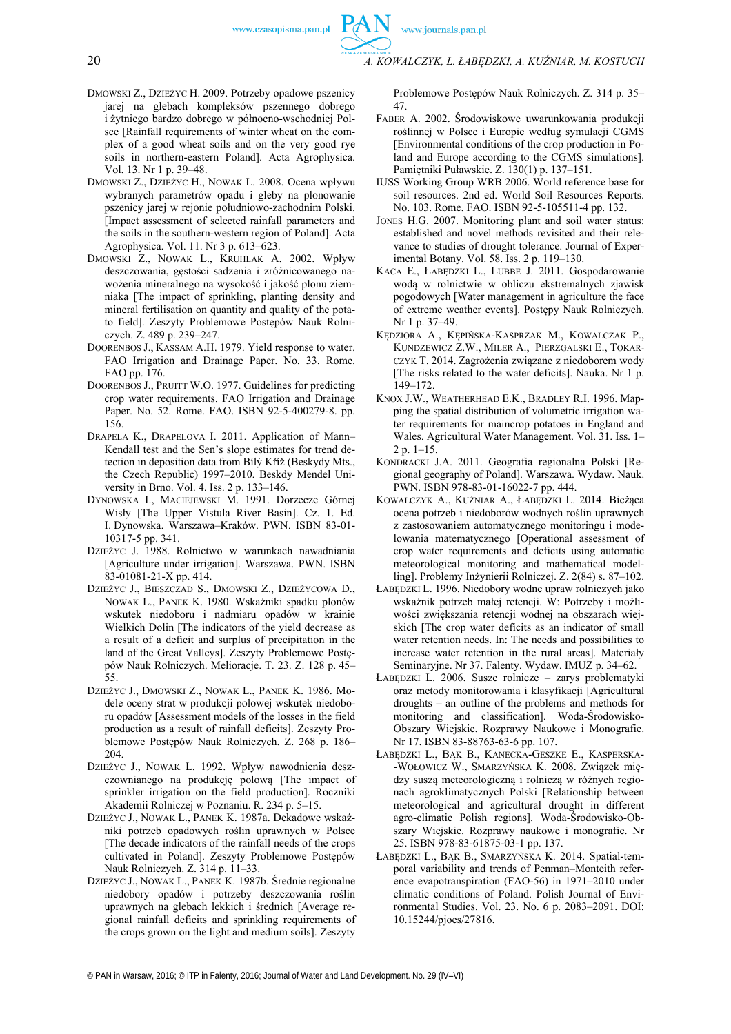- DMOWSKI Z., DZIEŻYC H. 2009. Potrzeby opadowe pszenicy jarej na glebach kompleksów pszennego dobrego i żytniego bardzo dobrego w północno-wschodniej Polsce [Rainfall requirements of winter wheat on the complex of a good wheat soils and on the very good rye soils in northern-eastern Poland]. Acta Agrophysica. Vol. 13. Nr 1 p. 39–48.
- DMOWSKI Z., DZIEŻYC H., NOWAK L. 2008. Ocena wpływu wybranych parametrów opadu i gleby na plonowanie pszenicy jarej w rejonie południowo-zachodnim Polski. [Impact assessment of selected rainfall parameters and the soils in the southern-western region of Poland]. Acta Agrophysica. Vol. 11. Nr 3 p. 613–623.
- DMOWSKI Z., NOWAK L., KRUHLAK A. 2002. Wpływ deszczowania, gęstości sadzenia i zróżnicowanego nawożenia mineralnego na wysokość i jakość plonu ziemniaka [The impact of sprinkling, planting density and mineral fertilisation on quantity and quality of the potato field]. Zeszyty Problemowe Postępów Nauk Rolniczych. Z. 489 p. 239–247.
- DOORENBOS J., KASSAM A.H. 1979. Yield response to water. FAO Irrigation and Drainage Paper. No. 33. Rome. FAO pp. 176.
- DOORENBOS J., PRUITT W.O. 1977. Guidelines for predicting crop water requirements. FAO Irrigation and Drainage Paper. No. 52. Rome. FAO. ISBN 92-5-400279-8. pp. 156.
- DRAPELA K., DRAPELOVA I. 2011. Application of Mann– Kendall test and the Sen's slope estimates for trend detection in deposition data from Bílý Kříž (Beskydy Mts., the Czech Republic) 1997–2010. Beskdy Mendel University in Brno. Vol. 4. Iss. 2 p. 133–146.
- DYNOWSKA I., MACIEJEWSKI M. 1991. Dorzecze Górnej Wisły [The Upper Vistula River Basin]. Cz. 1. Ed. I. Dynowska. Warszawa–Kraków. PWN. ISBN 83-01- 10317-5 pp. 341.
- DZIEŻYC J. 1988. Rolnictwo w warunkach nawadniania [Agriculture under irrigation]. Warszawa. PWN. ISBN 83-01081-21-X pp. 414.
- DZIEŻYC J., BIESZCZAD S., DMOWSKI Z., DZIEŻYCOWA D., NOWAK L., PANEK K. 1980. Wskaźniki spadku plonów wskutek niedoboru i nadmiaru opadów w krainie Wielkich Dolin [The indicators of the yield decrease as a result of a deficit and surplus of precipitation in the land of the Great Valleys]. Zeszyty Problemowe Postępów Nauk Rolniczych. Melioracje. T. 23. Z. 128 p. 45– 55.
- DZIEŻYC J., DMOWSKI Z., NOWAK L., PANEK K. 1986. Modele oceny strat w produkcji polowej wskutek niedoboru opadów [Assessment models of the losses in the field production as a result of rainfall deficits]. Zeszyty Problemowe Postępów Nauk Rolniczych. Z. 268 p. 186– 204.
- DZIEŻYC J., NOWAK L. 1992. Wpływ nawodnienia deszczownianego na produkcję polową [The impact of sprinkler irrigation on the field production]. Roczniki Akademii Rolniczej w Poznaniu. R. 234 p. 5–15.
- DZIEŻYC J., NOWAK L., PANEK K. 1987a. Dekadowe wskaźniki potrzeb opadowych roślin uprawnych w Polsce [The decade indicators of the rainfall needs of the crops cultivated in Poland]. Zeszyty Problemowe Postępów Nauk Rolniczych. Z. 314 p. 11–33.
- DZIEŻYC J., NOWAK L., PANEK K. 1987b. Średnie regionalne niedobory opadów i potrzeby deszczowania roślin uprawnych na glebach lekkich i średnich [Average regional rainfall deficits and sprinkling requirements of the crops grown on the light and medium soils]. Zeszyty

Problemowe Postępów Nauk Rolniczych. Z. 314 p. 35– 47.

- FABER A. 2002. Środowiskowe uwarunkowania produkcji roślinnej w Polsce i Europie według symulacji CGMS [Environmental conditions of the crop production in Poland and Europe according to the CGMS simulations]. Pamiętniki Puławskie. Z. 130(1) p. 137–151.
- IUSS Working Group WRB 2006. World reference base for soil resources. 2nd ed. World Soil Resources Reports. No. 103. Rome. FAO. ISBN 92-5-105511-4 pp. 132.
- JONES H.G. 2007. Monitoring plant and soil water status: established and novel methods revisited and their relevance to studies of drought tolerance. Journal of Experimental Botany. Vol. 58. Iss. 2 p. 119–130.
- KACA E., ŁABĘDZKI L., LUBBE J. 2011. Gospodarowanie wodą w rolnictwie w obliczu ekstremalnych zjawisk pogodowych [Water management in agriculture the face of extreme weather events]. Postępy Nauk Rolniczych. Nr 1 p. 37–49.
- KĘDZIORA A., KĘPIŃSKA-KASPRZAK M., KOWALCZAK P., KUNDZEWICZ Z.W., MILER A., PIERZGALSKI E., TOKAR-CZYK T. 2014. Zagrożenia związane z niedoborem wody [The risks related to the water deficits]. Nauka. Nr 1 p. 149–172.
- KNOX J.W., WEATHERHEAD E.K., BRADLEY R.I. 1996. Mapping the spatial distribution of volumetric irrigation water requirements for maincrop potatoes in England and Wales. Agricultural Water Management. Vol. 31. Iss. 1– 2 p. 1–15.
- KONDRACKI J.A. 2011. Geografia regionalna Polski [Regional geography of Poland]. Warszawa. Wydaw. Nauk. PWN. ISBN 978-83-01-16022-7 pp. 444.
- KOWALCZYK A., KUŹNIAR A., ŁABĘDZKI L. 2014. Bieżąca ocena potrzeb i niedoborów wodnych roślin uprawnych z zastosowaniem automatycznego monitoringu i modelowania matematycznego [Operational assessment of crop water requirements and deficits using automatic meteorological monitoring and mathematical modelling]. Problemy Inżynierii Rolniczej. Z. 2(84) s. 87–102.
- ŁABĘDZKI L. 1996. Niedobory wodne upraw rolniczych jako wskaźnik potrzeb małej retencji. W: Potrzeby i możliwości zwiększania retencji wodnej na obszarach wiejskich [The crop water deficits as an indicator of small water retention needs. In: The needs and possibilities to increase water retention in the rural areas]. Materiały Seminaryjne. Nr 37. Falenty. Wydaw. IMUZ p. 34–62.
- ŁABĘDZKI L. 2006. Susze rolnicze zarys problematyki oraz metody monitorowania i klasyfikacji [Agricultural droughts – an outline of the problems and methods for monitoring and classification]. Woda-Środowisko-Obszary Wiejskie. Rozprawy Naukowe i Monografie. Nr 17. ISBN 83-88763-63-6 pp. 107.
- ŁABĘDZKI L., BĄK B., KANECKA-GESZKE E., KASPERSKA- -WOŁOWICZ W., SMARZYŃSKA K. 2008. Związek między suszą meteorologiczną i rolniczą w różnych regionach agroklimatycznych Polski [Relationship between meteorological and agricultural drought in different agro-climatic Polish regions]. Woda-Środowisko-Obszary Wiejskie. Rozprawy naukowe i monografie. Nr 25. ISBN 978-83-61875-03-1 pp. 137.
- ŁABĘDZKI L., BĄK B., SMARZYŃSKA K. 2014. Spatial-temporal variability and trends of Penman–Monteith reference evapotranspiration (FAO-56) in 1971–2010 under climatic conditions of Poland. Polish Journal of Environmental Studies. Vol. 23. No. 6 p. 2083–2091. DOI: 10.15244/pjoes/27816.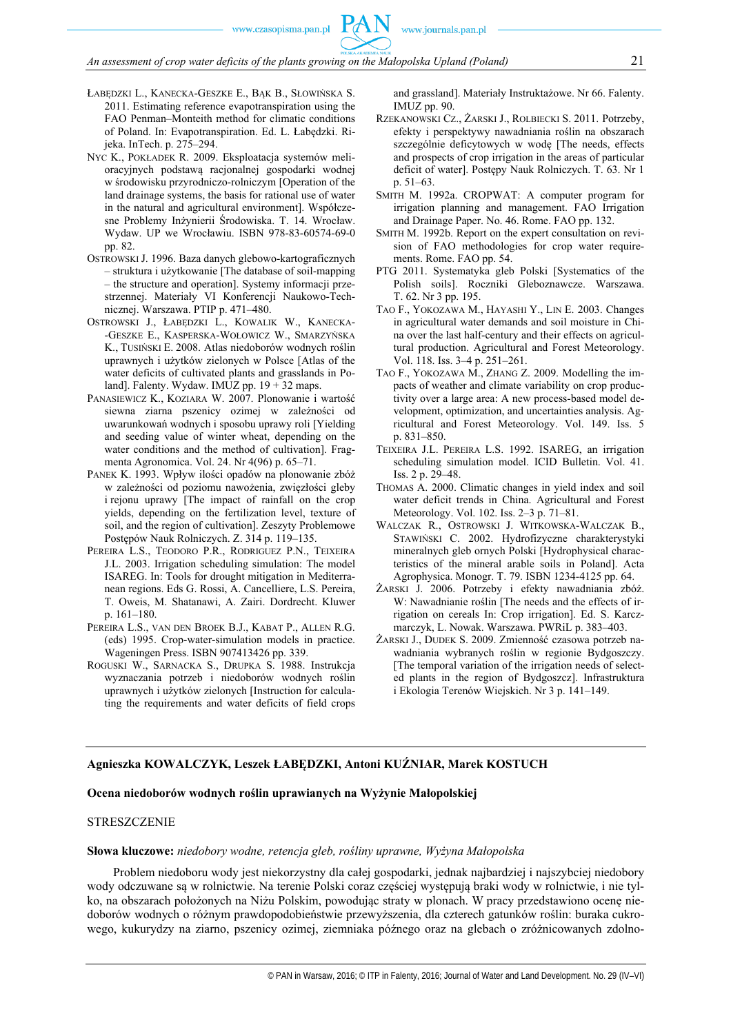- ŁABEDZKI L., KANECKA-GESZKE E., BAK B., SŁOWIŃSKA S. 2011. Estimating reference evapotranspiration using the FAO Penman–Monteith method for climatic conditions of Poland. In: Evapotranspiration. Ed. L. Łabędzki. Rijeka. InTech. p. 275–294.
- NYC K., POKŁADEK R. 2009. Eksploatacja systemów melioracyjnych podstawą racjonalnej gospodarki wodnej w środowisku przyrodniczo-rolniczym [Operation of the land drainage systems, the basis for rational use of water in the natural and agricultural environment]. Współczesne Problemy Inżynierii Środowiska. T. 14. Wrocław. Wydaw. UP we Wrocławiu. ISBN 978-83-60574-69-0 pp. 82.
- OSTROWSKI J. 1996. Baza danych glebowo-kartograficznych – struktura i użytkowanie [The database of soil-mapping – the structure and operation]. Systemy informacji przestrzennej. Materiały VI Konferencji Naukowo-Technicznej. Warszawa. PTIP p. 471–480.
- OSTROWSKI J., ŁABĘDZKI L., KOWALIK W., KANECKA- -GESZKE E., KASPERSKA-WOŁOWICZ W., SMARZYŃSKA K., TUSIŃSKI E. 2008. Atlas niedoborów wodnych roślin uprawnych i użytków zielonych w Polsce [Atlas of the water deficits of cultivated plants and grasslands in Poland]. Falenty. Wydaw. IMUZ pp.  $19 + 32$  maps.
- PANASIEWICZ K., KOZIARA W. 2007. Plonowanie i wartość siewna ziarna pszenicy ozimej w zależności od uwarunkowań wodnych i sposobu uprawy roli [Yielding and seeding value of winter wheat, depending on the water conditions and the method of cultivation]. Fragmenta Agronomica. Vol. 24. Nr 4(96) p. 65–71.
- PANEK K. 1993. Wpływ ilości opadów na plonowanie zbóż w zależności od poziomu nawożenia, zwięzłości gleby i rejonu uprawy [The impact of rainfall on the crop yields, depending on the fertilization level, texture of soil, and the region of cultivation]. Zeszyty Problemowe Postępów Nauk Rolniczych. Z. 314 p. 119–135.
- PEREIRA L.S., TEODORO P.R., RODRIGUEZ P.N., TEIXEIRA J.L. 2003. Irrigation scheduling simulation: The model ISAREG. In: Tools for drought mitigation in Mediterranean regions. Eds G. Rossi, A. Cancelliere, L.S. Pereira, T. Oweis, M. Shatanawi, A. Zairi. Dordrecht. Kluwer p. 161–180.
- PEREIRA L.S., VAN DEN BROEK B.J., KABAT P., ALLEN R.G. (eds) 1995. Crop-water-simulation models in practice. Wageningen Press. ISBN 907413426 pp. 339.
- ROGUSKI W., SARNACKA S., DRUPKA S. 1988. Instrukcja wyznaczania potrzeb i niedoborów wodnych roślin uprawnych i użytków zielonych [Instruction for calculating the requirements and water deficits of field crops

and grassland]. Materiały Instruktażowe. Nr 66. Falenty. IMUZ pp. 90.

- RZEKANOWSKI CZ., ŻARSKI J., ROLBIECKI S. 2011. Potrzeby, efekty i perspektywy nawadniania roślin na obszarach szczególnie deficytowych w wodę [The needs, effects and prospects of crop irrigation in the areas of particular deficit of water]. Postępy Nauk Rolniczych. T. 63. Nr 1 p. 51–63.
- SMITH M. 1992a. CROPWAT: A computer program for irrigation planning and management. FAO Irrigation and Drainage Paper. No. 46. Rome. FAO pp. 132.
- SMITH M. 1992b. Report on the expert consultation on revision of FAO methodologies for crop water requirements. Rome. FAO pp. 54.
- PTG 2011. Systematyka gleb Polski [Systematics of the Polish soils]. Roczniki Gleboznawcze. Warszawa. T. 62. Nr 3 pp. 195.
- TAO F., YOKOZAWA M., HAYASHI Y., LIN E. 2003. Changes in agricultural water demands and soil moisture in China over the last half-century and their effects on agricultural production. Agricultural and Forest Meteorology. Vol. 118. Iss. 3–4 p. 251–261.
- TAO F., YOKOZAWA M., ZHANG Z. 2009. Modelling the impacts of weather and climate variability on crop productivity over a large area: A new process-based model development, optimization, and uncertainties analysis. Agricultural and Forest Meteorology. Vol. 149. Iss. 5 p. 831–850.
- TEIXEIRA J.L. PEREIRA L.S. 1992. ISAREG, an irrigation scheduling simulation model. ICID Bulletin. Vol. 41. Iss. 2 p. 29–48.
- THOMAS A. 2000. Climatic changes in yield index and soil water deficit trends in China. Agricultural and Forest Meteorology. Vol. 102. Iss. 2–3 p. 71–81.
- WALCZAK R., OSTROWSKI J. WITKOWSKA-WALCZAK B., STAWIŃSKI C. 2002. Hydrofizyczne charakterystyki mineralnych gleb ornych Polski [Hydrophysical characteristics of the mineral arable soils in Poland]. Acta Agrophysica. Monogr. T. 79. ISBN 1234-4125 pp. 64.
- ŻARSKI J. 2006. Potrzeby i efekty nawadniania zbóż. W: Nawadnianie roślin [The needs and the effects of irrigation on cereals In: Crop irrigation]. Ed. S. Karczmarczyk, L. Nowak. Warszawa. PWRiL p. 383–403.
- ŻARSKI J., DUDEK S. 2009. Zmienność czasowa potrzeb nawadniania wybranych roślin w regionie Bydgoszczy. [The temporal variation of the irrigation needs of selected plants in the region of Bydgoszcz]. Infrastruktura i Ekologia Terenów Wiejskich. Nr 3 p. 141–149.

#### **Agnieszka KOWALCZYK, Leszek ŁABĘDZKI, Antoni KUŹNIAR, Marek KOSTUCH**

#### **Ocena niedoborów wodnych roślin uprawianych na Wyżynie Małopolskiej**

#### STRESZCZENIE

#### **Słowa kluczowe:** *niedobory wodne, retencja gleb, rośliny uprawne, Wyżyna Małopolska*

Problem niedoboru wody jest niekorzystny dla całej gospodarki, jednak najbardziej i najszybciej niedobory wody odczuwane są w rolnictwie. Na terenie Polski coraz częściej występują braki wody w rolnictwie, i nie tylko, na obszarach położonych na Niżu Polskim, powodując straty w plonach. W pracy przedstawiono ocenę niedoborów wodnych o różnym prawdopodobieństwie przewyższenia, dla czterech gatunków roślin: buraka cukrowego, kukurydzy na ziarno, pszenicy ozimej, ziemniaka późnego oraz na glebach o zróżnicowanych zdolno